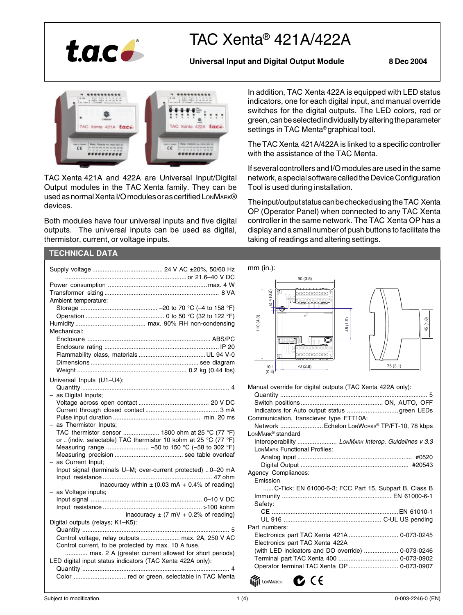

# TAC Xenta® 421A/422A

**Universal Input and Digital Output Module 8 Dec 2004**



TAC Xenta 421A and 422A are Universal Input/Digital Output modules in the TAC Xenta family. They can be used as normal Xenta I/O modules or as certified LonMARK® devices.

Both modules have four universal inputs and five digital outputs. The universal inputs can be used as digital, thermistor, current, or voltage inputs.

# **TECHNICAL DATA**

| mm (in.):                                                                                                   |                      |
|-------------------------------------------------------------------------------------------------------------|----------------------|
| Ambient temperature:                                                                                        | (0.2)                |
|                                                                                                             | $+64$                |
| 10(4.3)<br>Mechanical:                                                                                      |                      |
|                                                                                                             |                      |
|                                                                                                             |                      |
|                                                                                                             | 10.1<br>(0.4)        |
| Universal Inputs (U1-U4):                                                                                   |                      |
| Manual ov<br>- as Digital Inputs;                                                                           | Quantit              |
|                                                                                                             | Switch<br>Indicato   |
| Communi                                                                                                     |                      |
| $-$ as Thermistor Inputs;<br>TAC thermistor sensor  1800 ohm at 25 °C (77 °F)<br><b>LONMARK®</b>            | Networ               |
| or (indiv. selectable) TAC thermistor 10 kohm at 25 °C (77 °F)                                              | Interop              |
|                                                                                                             | LONMAR<br>Anak       |
| - as Current Input:<br>Input signal (terminals U-M; over-current protected)  0-20 mA<br>Agency C            | Digita               |
| inaccuracy within $\pm$ (0.03 mA + 0.4% of reading)                                                         | Emissio              |
| - as Voltage inputs;                                                                                        | . '<br>Immuni        |
|                                                                                                             | Safety:              |
| inaccuracy $\pm$ (7 mV + 0.2% of reading)<br>Digital outputs (relays; K1-K5):                               | $CE$<br>UL 9         |
| Part numl                                                                                                   |                      |
| Control voltage, relay outputs  max. 2A, 250 V AC                                                           | Electron<br>Electron |
| Control current, to be protected by max. 10 A fuse,<br>max. 2 A (greater current allowed for short periods) | (with LI             |
| LED digital input status indicators (TAC Xenta 422A only):                                                  | Termina              |
|                                                                                                             | Operato              |

In addition, TAC Xenta 422A is equipped with LED status indicators, one for each digital input, and manual override switches for the digital outputs. The LED colors, red or green, can be selected individually by altering the parameter settings in TAC Menta® graphical tool.

The TAC Xenta 421A/422A is linked to a specific controller with the assistance of the TAC Menta.

If several controllers and I/O modules are used in the same network, a special software called the Device Configuration Tool is used during installation.

The input/output status can be checked using the TAC Xenta OP (Operator Panel) when connected to any TAC Xenta controller in the same network. The TAC Xenta OP has a display and a small number of push buttons to facilitate the taking of readings and altering settings.

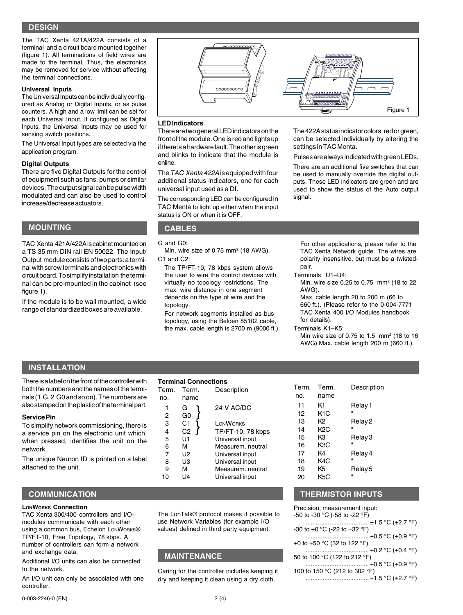# **DESIGN**

The TAC Xenta 421A/422A consists of a terminal and a circuit board mounted together (figure 1). All terminations of field wires are made to the terminal. Thus, the electronics may be removed for service without affecting the terminal connections.

### **Universal Inputs**

The Universal Inputs can be individually configured as Analog or Digital Inputs, or as pulse counters. A high and a low limit can be set for each Universal Input. If configured as Digital Inputs, the Universal Inputs may be used for sensing switch positions.

The Universal Input types are selected via the application program.

#### **Digital Outputs**

There are five Digital Outputs for the control of equipment such as fans, pumps or similar devices. The output signal can be pulse width modulated and can also be used to control increase/decrease actuators.

## **MOUNTING CABLES**

TAC Xenta 421A/422A is cabinet mounted on a TS 35 mm DIN rail EN 50022. The Input/ Output module consists of two parts: a terminal with screw terminals and electronics with circuit board. To simplify installation the terminal can be pre-mounted in the cabinet (see figure 1).

If the module is to be wall mounted, a wide range of standardized boxes are available.



#### **LED Indicators**

There are two general LED indicators on the front of the module. One is red and lights up if there is a hardware fault. The other is green and blinks to indicate that the module is online.

The TAC Xenta 422A is equipped with four additional status indicators, one for each universal input used as a DI.

The corresponding LED can be configured in TAC Menta to light up either when the input status is ON or when it is OFF.

G and G0:

Min. wire size of 0.75  $mm<sup>2</sup>$  (18 AWG). C<sub>1</sub> and C<sub>2</sub><sup>-</sup>

The TP/FT-10, 78 kbps system allows the user to wire the control devices with virtually no topology restrictions. The max. wire distance in one segment depends on the type of wire and the topology.

For network segments installed as bus topology, using the Belden 85102 cable, the max. cable length is 2700 m (9000 ft.). The 422A status indicator colors, red or green, can be selected individually by altering the settings in TAC Menta.

Pulses are always indicated with green LEDs.

There are an additional five switches that can be used to manually override the digital outputs. These LED indicators are green and are used to show the status of the Auto output signal.

For other applications, please refer to the TAC Xenta Network guide. The wires are polarity insensitive, but must be a twistedpair.

Terminals U1–U4:

Min. wire size 0.25 to 0.75 mm2 (18 to 22 AWG).

Max. cable length 20 to 200 m (66 to 660 ft.). (Please refer to the 0-004-7771 TAC Xenta 400 I/O Modules handbook for details).

#### Terminals K1–K5:

no. name

12 K1C

14 K2C<br>15 K3

16 K3C<br>17 K4

20 K5C

Min wire size of 0.75 to 1.5  $\,$  mm<sup>2</sup> (18 to 16) AWG).Max. cable length 200 m (660 ft.).

Relay 3

# **INSTALLATION**

There is a label on the front of the controller with both the numbers and the names of the terminals (1 G, 2 G0 and so on). The numbers are also stamped on the plastic of the terminal part.

#### **Service Pin**

To simplify network commissioning, there is a service pin on the electronic unit which, when pressed, identifies the unit on the network.

The unique Neuron ID is printed on a label attached to the unit.

# **COMMUNICATION**

#### **LONWORKS Connection**

TAC Xenta 300/400 controllers and I/Omodules communicate with each other using a common bus, Echelon LONWORKS® TP/FT-10, Free Topology, 78 kbps. A number of controllers can form a network and exchange data.

Additional I/O units can also be connected to the network.

An I/O unit can only be associated with one controller.

The LonTalk® protocol makes it possible to use Network Variables (for example I/O values) defined in third party equipment.

9 M Measurem. neutral 10 U4 Universal input

# **MAINTENANCE**

**Terminal Connections** Term. Term. Description

 $\left\{\n \begin{array}{ccc}\n 1 & G \\
2 & G0\n \end{array}\n \right\}\n \quad\n 24 \, \text{V AC/DC}$ 

 $\begin{array}{cc} 3 & C1 \\ 4 & C2 \end{array}$  LONWORKS

} }

5 U1 Universal input 6 M Measurem. neutral 7 U2 Universal input<br>8 U3 Universal input

TP/FT-10, 78 kbps

Universal input

no. name

G<sub>0</sub>

Caring for the controller includes keeping it dry and keeping it clean using a dry cloth.

# **THERMISTOR INPUTS**

Term. Term. Description

11 K1 Relay 1

13 K2 Relay 2

17 K4 Relay 4<br>18 K4C " K<sub>4</sub>C 19 K5 Relay 5

Precision, measurement input: -50 to -30 °C (-58 to -22 °F) ..................................... ±1.5 °C (±2.7 °F) -30 to ±0 °C (-22 to +32 °F) ..................................... ±0.5 °C (±0.9 °F) ±0 to +50 °C (32 to 122 °F) ..................................... ±0.2 °C (±0.4 °F) 50 to 100 °C (122 to 212 °F) ..................................... ±0.5 °C (±0.9 °F) 100 to 150 °C (212 to 302 °F) ..................................... ±1.5 °C (±2.7 °F)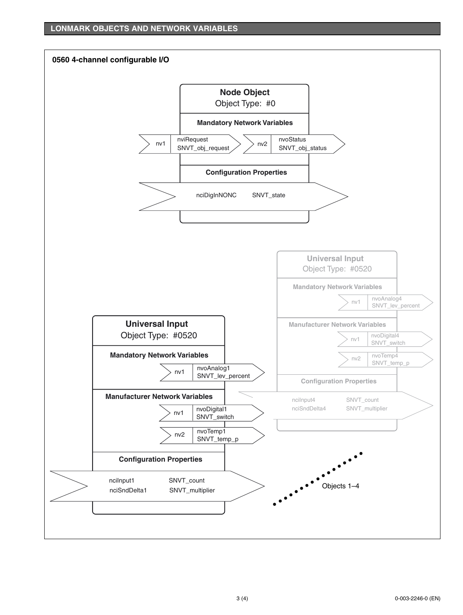